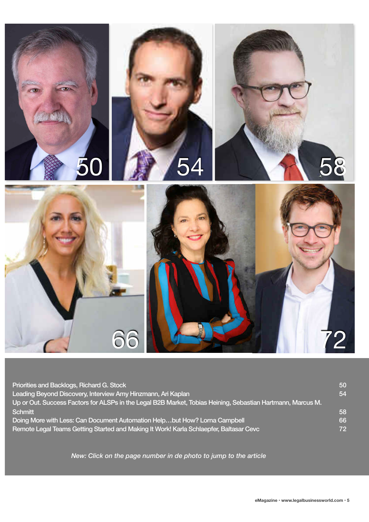

| Priorities and Backlogs, Richard G. Stock                                                                   | 50 <sup>°</sup> |
|-------------------------------------------------------------------------------------------------------------|-----------------|
| Leading Beyond Discovery, Interview Amy Hinzmann, Ari Kaplan                                                | 54              |
| Up or Out. Success Factors for ALSPs in the Legal B2B Market, Tobias Heining, Sebastian Hartmann, Marcus M. |                 |
| <b>Schmitt</b>                                                                                              | 58              |
| Doing More with Less: Can Document Automation Helpbut How? Lorna Campbell                                   | 66              |
| Remote Legal Teams Getting Started and Making It Work! Karla Schlaepfer, Baltasar Cevc                      | 72              |

*New: Click on the page number in de photo to jump to the article*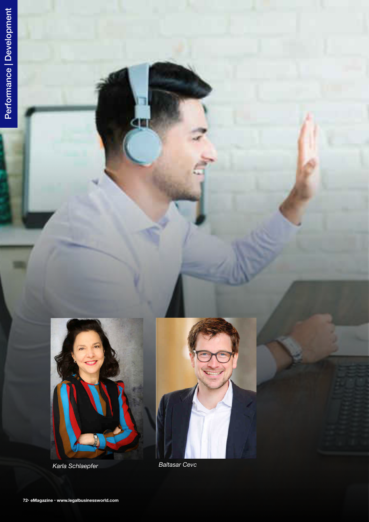

<span id="page-1-0"></span>т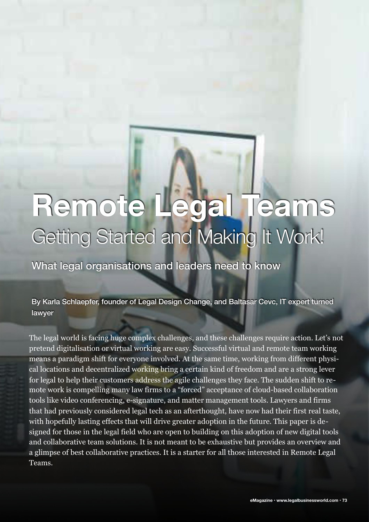# **Remote Legal Teams**  Getting Started and Making It Work!

What legal organisations and leaders need to know

By Karla Schlaepfer, founder of Legal Design Change, and Baltasar Cevc, IT expert turned lawyer

The legal world is facing huge complex challenges, and these challenges require action. Let's not pretend digitalisation or virtual working are easy. Successful virtual and remote team working means a paradigm shift for everyone involved. At the same time, working from different physical locations and decentralized working bring a certain kind of freedom and are a strong lever for legal to help their customers address the agile challenges they face. The sudden shift to remote work is compelling many law firms to a "forced" acceptance of cloud-based collaboration tools like video conferencing, e-signature, and matter management tools. Lawyers and firms that had previously considered legal tech as an afterthought, have now had their first real taste, with hopefully lasting effects that will drive greater adoption in the future. This paper is designed for those in the legal field who are open to building on this adoption of new digital tools and collaborative team solutions. It is not meant to be exhaustive but provides an overview and a glimpse of best collaborative practices. It is a starter for all those interested in Remote Legal Teams.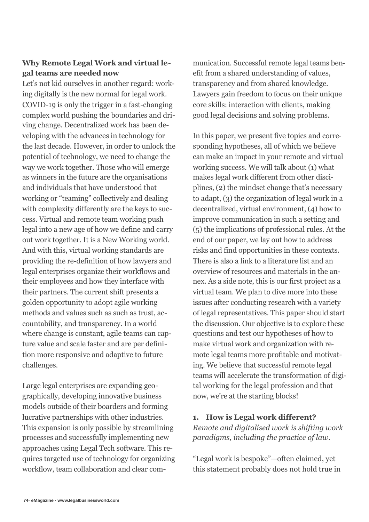## **Why Remote Legal Work and virtual legal teams are needed now**

Let's not kid ourselves in another regard: working digitally is the new normal for legal work. COVID-19 is only the trigger in a fast-changing complex world pushing the boundaries and driving change. Decentralized work has been developing with the advances in technology for the last decade. However, in order to unlock the potential of technology, we need to change the way we work together. Those who will emerge as winners in the future are the organisations and individuals that have understood that working or "teaming" collectively and dealing with complexity differently are the keys to success. Virtual and remote team working push legal into a new age of how we define and carry out work together. It is a New Working world. And with this, virtual working standards are providing the re-definition of how lawyers and legal enterprises organize their workflows and their employees and how they interface with their partners. The current shift presents a golden opportunity to adopt agile working methods and values such as such as trust, accountability, and transparency. In a world where change is constant, agile teams can capture value and scale faster and are per definition more responsive and adaptive to future challenges.

Large legal enterprises are expanding geographically, developing innovative business models outside of their boarders and forming lucrative partnerships with other industries. This expansion is only possible by streamlining processes and successfully implementing new approaches using Legal Tech software. This requires targeted use of technology for organizing workflow, team collaboration and clear com-

munication. Successful remote legal teams benefit from a shared understanding of values, transparency and from shared knowledge. Lawyers gain freedom to focus on their unique core skills: interaction with clients, making good legal decisions and solving problems.

In this paper, we present five topics and corresponding hypotheses, all of which we believe can make an impact in your remote and virtual working success. We will talk about (1) what makes legal work different from other disciplines, (2) the mindset change that's necessary to adapt, (3) the organization of legal work in a decentralized, virtual environment, (4) how to improve communication in such a setting and (5) the implications of professional rules. At the end of our paper, we lay out how to address risks and find opportunities in these contexts. There is also a link to a literature list and an overview of resources and materials in the annex. As a side note, this is our first project as a virtual team. We plan to dive more into these issues after conducting research with a variety of legal representatives. This paper should start the discussion. Our objective is to explore these questions and test our hypotheses of how to make virtual work and organization with remote legal teams more profitable and motivating. We believe that successful remote legal teams will accelerate the transformation of digital working for the legal profession and that now, we're at the starting blocks!

## **1. How is Legal work different?**  *Remote and digitalised work is shifting work paradigms, including the practice of law.*

"Legal work is bespoke"—often claimed, yet this statement probably does not hold true in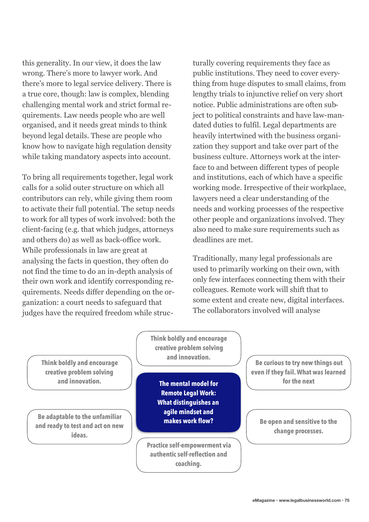this generality. In our view, it does the law wrong. There's more to lawyer work. And there's more to legal service delivery. There is a true core, though: law is complex, blending challenging mental work and strict formal requirements. Law needs people who are well organised, and it needs great minds to think beyond legal details. These are people who know how to navigate high regulation density while taking mandatory aspects into account.

To bring all requirements together, legal work calls for a solid outer structure on which all contributors can rely, while giving them room to activate their full potential. The setup needs to work for all types of work involved: both the client-facing (e.g. that which judges, attorneys and others do) as well as back-office work. While professionals in law are great at analysing the facts in question, they often do not find the time to do an in-depth analysis of their own work and identify corresponding requirements. Needs differ depending on the organization: a court needs to safeguard that judges have the required freedom while struc-

turally covering requirements they face as public institutions. They need to cover everything from huge disputes to small claims, from lengthy trials to injunctive relief on very short notice. Public administrations are often subject to political constraints and have law-mandated duties to fulfil. Legal departments are heavily intertwined with the business organization they support and take over part of the business culture. Attorneys work at the interface to and between different types of people and institutions, each of which have a specific working mode. Irrespective of their workplace, lawyers need a clear understanding of the needs and working processes of the respective other people and organizations involved. They also need to make sure requirements such as deadlines are met.

Traditionally, many legal professionals are used to primarily working on their own, with only few interfaces connecting them with their colleagues. Remote work will shift that to some extent and create new, digital interfaces. The collaborators involved will analyse

**Think boldly and encourage creative problem solving and innovation.**

**Be adaptable to the unfamiliar and ready to test and act on new ideas.** 

**Think boldly and encourage creative problem solving and innovation.**

**The mental model for Remote Legal Work: What distinguishes an agile mindset and makes work flow?**

**Practice self-empowerment via authentic self-reflection and coaching.** 

**Be curious to try new things out even if they fail. What was learned for the next** 

**Be open and sensitive to the change processes.**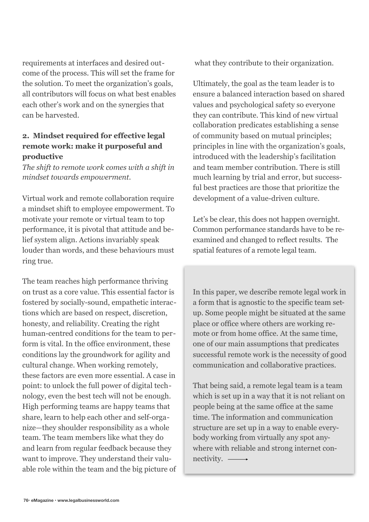requirements at interfaces and desired outcome of the process. This will set the frame for the solution. To meet the organization's goals, all contributors will focus on what best enables each other's work and on the synergies that can be harvested.

## **2. Mindset required for effective legal remote work: make it purposeful and productive**

*The shift to remote work comes with a shift in mindset towards empowerment.* 

Virtual work and remote collaboration require a mindset shift to employee empowerment. To motivate your remote or virtual team to top performance, it is pivotal that attitude and belief system align. Actions invariably speak louder than words, and these behaviours must ring true.

The team reaches high performance thriving on trust as a core value. This essential factor is fostered by socially-sound, empathetic interactions which are based on respect, discretion, honesty, and reliability. Creating the right human-centred conditions for the team to perform is vital. In the office environment, these conditions lay the groundwork for agility and cultural change. When working remotely, these factors are even more essential. A case in point: to unlock the full power of digital technology, even the best tech will not be enough. High performing teams are happy teams that share, learn to help each other and self-organize—they shoulder responsibility as a whole team. The team members like what they do and learn from regular feedback because they want to improve. They understand their valuable role within the team and the big picture of what they contribute to their organization.

Ultimately, the goal as the team leader is to ensure a balanced interaction based on shared values and psychological safety so everyone they can contribute. This kind of new virtual collaboration predicates establishing a sense of community based on mutual principles; principles in line with the organization's goals, introduced with the leadership's facilitation and team member contribution. There is still much learning by trial and error, but successful best practices are those that prioritize the development of a value-driven culture.

Let's be clear, this does not happen overnight. Common performance standards have to be reexamined and changed to reflect results. The spatial features of a remote legal team.

In this paper, we describe remote legal work in a form that is agnostic to the specific team setup. Some people might be situated at the same place or office where others are working remote or from home office. At the same time, one of our main assumptions that predicates successful remote work is the necessity of good communication and collaborative practices.

That being said, a remote legal team is a team which is set up in a way that it is not reliant on people being at the same office at the same time. The information and communication structure are set up in a way to enable everybody working from virtually any spot anywhere with reliable and strong internet connectivity.  $\longrightarrow$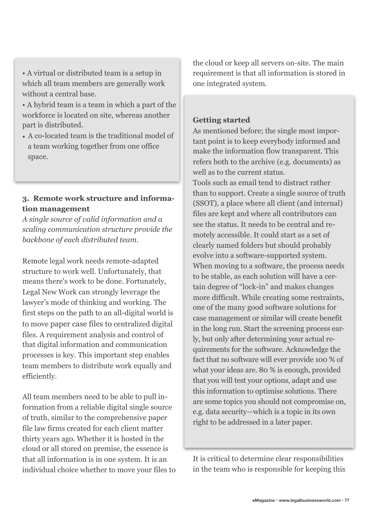- A virtual or distributed team is a setup in which all team members are generally work without a central base.
- A hybrid team is a team in which a part of the workforce is located on site, whereas another part is distributed.
- A co-located team is the traditional model of a team working together from one office space.

# **3. Remote work structure and information management**

*A single source of valid information and a scaling communication structure provide the backbone of each distributed team.* 

Remote legal work needs remote-adapted structure to work well. Unfortunately, that means there's work to be done. Fortunately, Legal New Work can strongly leverage the lawyer's mode of thinking and working. The first steps on the path to an all-digital world is to move paper case files to centralized digital files. A requirement analysis and control of that digital information and communication processes is key. This important step enables team members to distribute work equally and efficiently.

All team members need to be able to pull information from a reliable digital single source of truth, similar to the comprehensive paper file law firms created for each client matter thirty years ago. Whether it is hosted in the cloud or all stored on premise, the essence is that all information is in one system. It is an individual choice whether to move your files to the cloud or keep all servers on-site. The main requirement is that all information is stored in one integrated system.

## **Getting started**

As mentioned before; the single most important point is to keep everybody informed and make the information flow transparent. This refers both to the archive (e.g. documents) as well as to the current status. Tools such as email tend to distract rather than to support. Create a single source of truth (SSOT), a place where all client (and internal) files are kept and where all contributors can see the status. It needs to be central and remotely accessible. It could start as a set of clearly named folders but should probably evolve into a software-supported system. When moving to a software, the process needs to be stable, as each solution will have a certain degree of "lock-in" and makes changes more difficult. While creating some restraints, one of the many good software solutions for case management or similar will create benefit in the long run. Start the screening process early, but only after determining your actual requirements for the software. Acknowledge the fact that no software will ever provide 100 % of what your ideas are. 80 % is enough, provided that you will test your options, adapt and use this information to optimise solutions. There are some topics you should not compromise on, e.g. data security—which is a topic in its own right to be addressed in a later paper.

It is critical to determine clear responsibilities in the team who is responsible for keeping this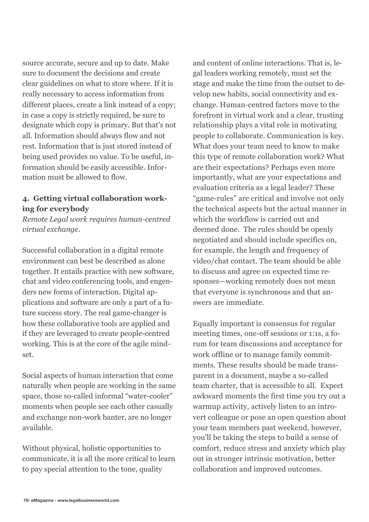source accurate, secure and up to date. Make sure to document the decisions and create clear guidelines on what to store where. If it is really necessary to access information from different places, create a link instead of a copy; in case a copy is strictly required, be sure to designate which copy is primary. But that's not all. Information should always flow and not rest. Information that is just stored instead of being used provides no value. To be useful, information should be easily accessible. Information must be allowed to flow.

## **4. Getting virtual collaboration working for everybody**

*Remote Legal work requires human-centred virtual exchange.*

Successful collaboration in a digital remote environment can best be described as alone together. It entails practice with new software, chat and video conferencing tools, and engenders new forms of interaction. Digital applications and software are only a part of a future success story. The real game-changer is how these collaborative tools are applied and if they are leveraged to create people-centred working. This is at the core of the agile mindset.

Social aspects of human interaction that come naturally when people are working in the same space, those so-called informal "water-cooler" moments when people see each other casually and exchange non-work banter, are no longer available.

Without physical, holistic opportunities to communicate, it is all the more critical to learn to pay special attention to the tone, quality

and content of online interactions. That is, legal leaders working remotely, must set the stage and make the time from the outset to develop new habits, social connectivity and exchange. Human-centred factors move to the forefront in virtual work and a clear, trusting relationship plays a vital role in motivating people to collaborate. Communication is key. What does your team need to know to make this type of remote collaboration work? What are their expectations? Perhaps even more importantly, what are your expectations and evaluation criteria as a legal leader? These "game-rules" are critical and involve not only the technical aspects but the actual manner in which the workflow is carried out and deemed done. The rules should be openly negotiated and should include specifics on, for example, the length and frequency of video/chat contact. The team should be able to discuss and agree on expected time responses—working remotely does not mean that everyone is synchronous and that answers are immediate.

Equally important is consensus for regular meeting times, one-off sessions or 1:1s, a forum for team discussions and acceptance for work offline or to manage family commitments. These results should be made transparent in a document, maybe a so-called team charter, that is accessible to all. Expect awkward moments the first time you try out a warmup activity, actively listen to an introvert colleague or pose an open question about your team members past weekend, however, you'll be taking the steps to build a sense of comfort, reduce stress and anxiety which play out in stronger intrinsic motivation, better collaboration and improved outcomes.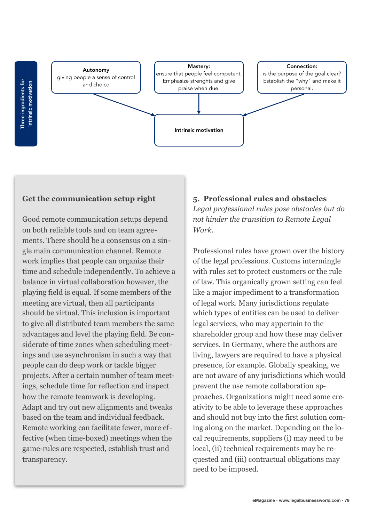Three ingredients for<br>intrinsic motivation



## **Get the communication setup right**

Good remote communication setups depend on both reliable tools and on team agreements. There should be a consensus on a single main communication channel. Remote work implies that people can organize their time and schedule independently. To achieve a balance in virtual collaboration however, the playing field is equal. If some members of the meeting are virtual, then all participants should be virtual. This inclusion is important to give all distributed team members the same advantages and level the playing field. Be considerate of time zones when scheduling meetings and use asynchronism in such a way that people can do deep work or tackle bigger projects. After a certain number of team meetings, schedule time for reflection and inspect how the remote teamwork is developing. Adapt and try out new alignments and tweaks based on the team and individual feedback. Remote working can facilitate fewer, more effective (when time-boxed) meetings when the game-rules are respected, establish trust and transparency.

## **5. Professional rules and obstacles**

*Legal professional rules pose obstacles but do not hinder the transition to Remote Legal Work.* 

Professional rules have grown over the history of the legal professions. Customs intermingle with rules set to protect customers or the rule of law. This organically grown setting can feel like a major impediment to a transformation of legal work. Many jurisdictions regulate which types of entities can be used to deliver legal services, who may appertain to the shareholder group and how these may deliver services. In Germany, where the authors are living, lawyers are required to have a physical presence, for example. Globally speaking, we are not aware of any jurisdictions which would prevent the use remote collaboration approaches. Organizations might need some creativity to be able to leverage these approaches and should not buy into the first solution coming along on the market. Depending on the local requirements, suppliers (i) may need to be local, (ii) technical requirements may be requested and (iii) contractual obligations may need to be imposed.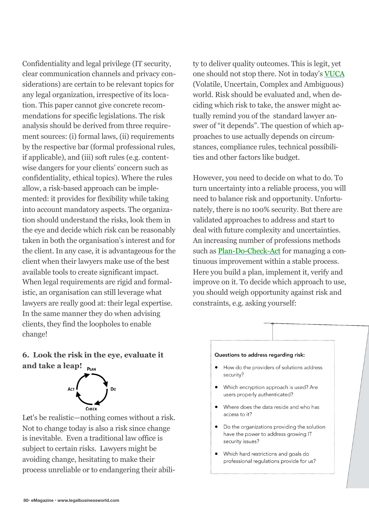Confidentiality and legal privilege (IT security, clear communication channels and privacy considerations) are certain to be relevant topics for any legal organization, irrespective of its location. This paper cannot give concrete recommendations for specific legislations. The risk analysis should be derived from three requirement sources: (i) formal laws, (ii) requirements by the respective bar (formal professional rules, if applicable), and (iii) soft rules (e.g. contentwise dangers for your clients' concern such as confidentiality, ethical topics). Where the rules allow, a risk-based approach can be implemented: it provides for flexibility while taking into account mandatory aspects. The organization should understand the risks, look them in the eye and decide which risk can be reasonably taken in both the organisation's interest and for the client. In any case, it is advantageous for the client when their lawyers make use of the best available tools to create significant impact. When legal requirements are rigid and formalistic, an organisation can still leverage what lawyers are really good at: their legal expertise. In the same manner they do when advising clients, they find the loopholes to enable change!

ty to deliver quality outcomes. This is legit, yet one should not stop there. Not in today's [VUCA](https://en.wikipedia.org/wiki/Volatility,_uncertainty,_complexity_and_ambiguity) (Volatile, Uncertain, Complex and Ambiguous) world. Risk should be evaluated and, when deciding which risk to take, the answer might actually remind you of the standard lawyer answer of "it depends". The question of which approaches to use actually depends on circumstances, compliance rules, technical possibilities and other factors like budget.

However, you need to decide on what to do. To turn uncertainty into a reliable process, you will need to balance risk and opportunity. Unfortunately, there is no 100% security. But there are validated approaches to address and start to deal with future complexity and uncertainties. An increasing number of professions methods such as [Plan-Do-Check-Act](https://en.wikipedia.org/wiki/PDCA) for managing a continuous improvement within a stable process. Here you build a plan, implement it, verify and improve on it. To decide which approach to use, you should weigh opportunity against risk and constraints, e.g. asking yourself:

# **6. Look the risk in the eye, evaluate it and take a leap!**



Let's be realistic—nothing comes without a risk. Not to change today is also a risk since change is inevitable. Even a traditional law office is subject to certain risks. Lawyers might be avoiding change, hesitating to make their process unreliable or to endangering their abili-

#### Questions to address regarding risk:

- How do the providers of solutions address security?
- Which encryption approach is used? Are users properly authenticated?
- Where does the data reside and who has access to it?
- Do the organizations providing the solution have the power to address growing IT security issues?
- Which hard restrictions and goals do professional regulations provide for us?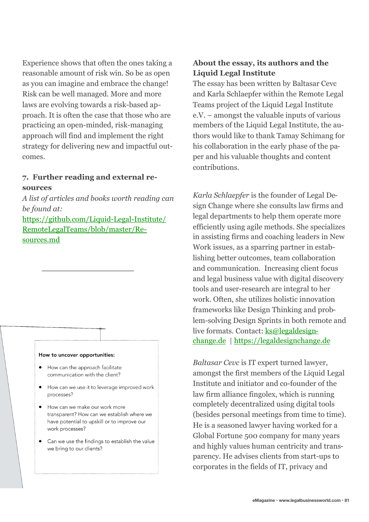Experience shows that often the ones taking a reasonable amount of risk win. So be as open as you can imagine and embrace the change! Risk can be well managed. More and more laws are evolving towards a risk-based approach. It is often the case that those who are practicing an open-minded, risk-managing approach will find and implement the right strategy for delivering new and impactful outcomes.

### **7. Further reading and external resources**

*A list of articles and books worth reading can be found at:*

[https://github.com/Liquid-Legal-Institute/](https://github.com/Liquid-Legal-Institute/RemoteLegalTeams/blob/master/Resources.md#resource-collection-for-remote-legal-teams) [RemoteLegalTeams/blob/master/Re](https://github.com/Liquid-Legal-Institute/RemoteLegalTeams/blob/master/Resources.md#resource-collection-for-remote-legal-teams)[sources.md](https://github.com/Liquid-Legal-Institute/RemoteLegalTeams/blob/master/Resources.md#resource-collection-for-remote-legal-teams) 

#### How to uncover opportunities:

- How can the approach facilitate communication with the client?
- How can we use it to leverage improved work processes?
- How can we make our work more transparent? How can we establish where we have potential to upskill or to improve our work processes?
- Can we use the findings to establish the value we bring to our clients?

## **About the essay, its authors and the Liquid Legal Institute**

The essay has been written by Baltasar Cevc and Karla Schlaepfer within the Remote Legal Teams project of the Liquid Legal Institute e.V. – amongst the valuable inputs of various members of the Liquid Legal Institute, the authors would like to thank Tamay Schimang for his collaboration in the early phase of the paper and his valuable thoughts and content contributions.

*Karla Schlaepfer* is the founder of Legal Design Change where she consults law firms and legal departments to help them operate more efficiently using agile methods. She specializes in assisting firms and coaching leaders in New Work issues, as a sparring partner in establishing better outcomes, team collaboration and communication. Increasing client focus and legal business value with digital discovery tools and user-research are integral to her work. Often, she utilizes holistic innovation frameworks like Design Thinking and problem-solving Design Sprints in both remote and live formats. Contact: [ks@legaldesign](mailto:ks@legaldesignchange.de)[change.de](mailto:ks@legaldesignchange.de) |<https://legaldesignchange.de>

*Baltasar Cevc* is IT expert turned lawyer, amongst the first members of the Liquid Legal Institute and initiator and co-founder of the law firm alliance fingolex, which is running completely decentralized using digital tools (besides personal meetings from time to time). He is a seasoned lawyer having worked for a Global Fortune 500 company for many years and highly values human centricity and transparency. He advises clients from start-ups to corporates in the fields of IT, privacy and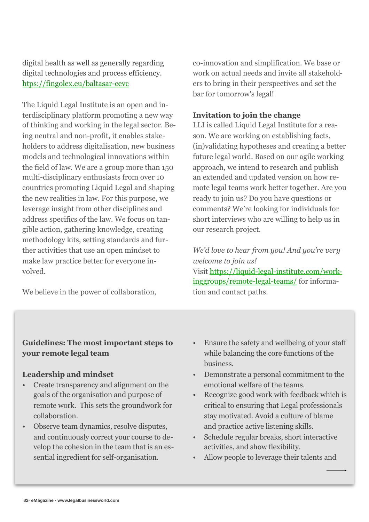digital health as well as generally regarding digital technologies and process efficiency. [htps://fingolex.eu/baltasar-cevc](http://www.fingolex.eu/baltasar-cevc)

The Liquid Legal Institute is an open and interdisciplinary platform promoting a new way of thinking and working in the legal sector. Being neutral and non-profit, it enables stakeholders to address digitalisation, new business models and technological innovations within the field of law. We are a group more than 150 multi-disciplinary enthusiasts from over 10 countries promoting Liquid Legal and shaping the new realities in law. For this purpose, we leverage insight from other disciplines and address specifics of the law. We focus on tangible action, gathering knowledge, creating methodology kits, setting standards and further activities that use an open mindset to make law practice better for everyone involved.

We believe in the power of collaboration,

co-innovation and simplification. We base or work on actual needs and invite all stakeholders to bring in their perspectives and set the bar for tomorrow's legal!

## **Invitation to join the change**

LLI is called Liquid Legal Institute for a reason. We are working on establishing facts, (in)validating hypotheses and creating a better future legal world. Based on our agile working approach, we intend to research and publish an extended and updated version on how remote legal teams work better together. Are you ready to join us? Do you have questions or comments? We're looking for individuals for short interviews who are willing to help us in our research project.

*We'd love to hear from you! And you're very welcome to join us!*  Visit [https://liquid-legal-institute.com/work](https://liquid-legal-institute.com/workinggroups/remote-legal-teams/)[inggroups/remote-legal-teams/ for informa](https://liquid-legal-institute.com/workinggroups/remote-legal-teams/)tion and contact paths.

## **Guidelines: The most important steps to your remote legal team**

## **Leadership and mindset**

- Create transparency and alignment on the goals of the organisation and purpose of remote work. This sets the groundwork for collaboration.
- Observe team dynamics, resolve disputes, and continuously correct your course to develop the cohesion in the team that is an essential ingredient for self-organisation.
- Ensure the safety and wellbeing of your staff while balancing the core functions of the business.
- Demonstrate a personal commitment to the emotional welfare of the teams.
- Recognize good work with feedback which is critical to ensuring that Legal professionals stay motivated. Avoid a culture of blame and practice active listening skills.
- Schedule regular breaks, short interactive activities, and show flexibility.
- Allow people to leverage their talents and